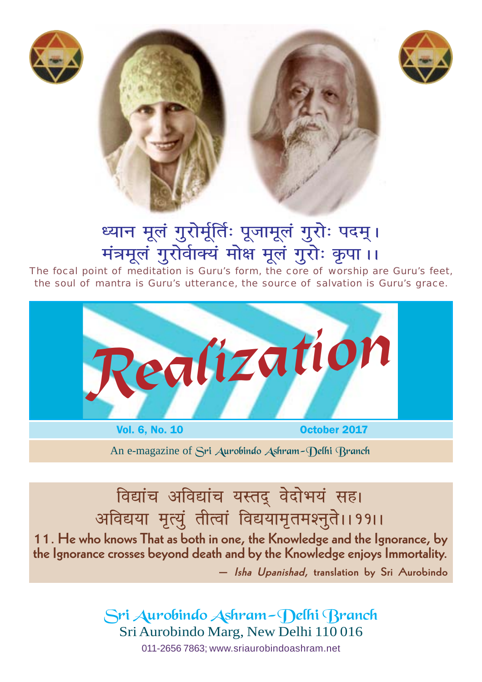





# ध्यान मूलं गुरोर्मूर्तिः पूजामूलं गुरोः पदम्। मंत्रमूलं गुरोर्वाक्यं मोक्ष मूलं गुरोः कृपा।।

*The focal point of meditation is Guru's form, the core of worship are Guru's feet, the soul of mantra is Guru's utterance, the source of salvation is Guru's grace.*



An e-magazine of Sri Aurobindo Ashram-Delhi Branch

विद्यांच अविद्यांच यस्तद् वेदोभयं सह। अविद्यया मृत्यूं तीत्वां विद्ययामृतमश्नुते।। ११।। **11. He who knows That as both in one, the Knowledge and the Ignorance, by the Ignorance crosses beyond death and by the Knowledge enjoys Immortality. – Isha Upanishad, translation by Sri Aurobindo**

> Sri Aurobindo Ashram-Delhi Branch Sri Aurobindo Marg, New Delhi 110 016

011-2656 7863; www.sriaurobindoashram.net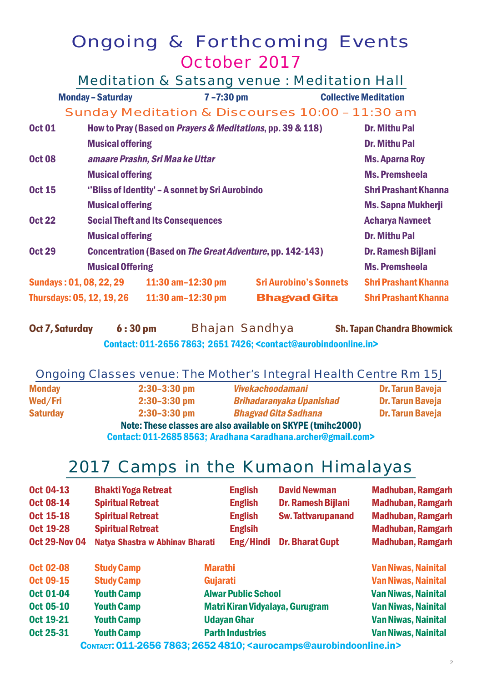### Ongoing & Forthcoming Events October 2017

Meditation & Satsang venue : Meditation Hall

|                           | <b>Monday - Saturday</b>                                         | $7 - 7:30$ pm                                                          |                               | <b>Collective Meditation</b> |
|---------------------------|------------------------------------------------------------------|------------------------------------------------------------------------|-------------------------------|------------------------------|
|                           |                                                                  | Sunday Meditation & Discourses 10:00 - 11:30 am                        |                               |                              |
| <b>Oct 01</b>             |                                                                  | How to Pray (Based on <i>Prayers &amp; Meditations</i> , pp. 39 & 118) |                               | <b>Dr. Mithu Pal</b>         |
|                           | <b>Musical offering</b>                                          |                                                                        |                               | <b>Dr. Mithu Pal</b>         |
| <b>Oct 08</b>             | amaare Prashn, Sri Maa ke Uttar                                  |                                                                        |                               | <b>Ms. Aparna Roy</b>        |
|                           | <b>Musical offering</b>                                          | <b>Ms. Premsheela</b>                                                  |                               |                              |
| <b>Oct 15</b>             | "Bliss of Identity' - A sonnet by Sri Aurobindo                  |                                                                        |                               | <b>Shri Prashant Khanna</b>  |
|                           | <b>Musical offering</b>                                          | <b>Ms. Sapna Mukherji</b>                                              |                               |                              |
| <b>Oct 22</b>             | <b>Social Theft and Its Consequences</b>                         |                                                                        |                               | <b>Acharya Navneet</b>       |
|                           | <b>Musical offering</b>                                          | <b>Dr. Mithu Pal</b>                                                   |                               |                              |
| <b>Oct 29</b>             | <b>Concentration (Based on The Great Adventure, pp. 142-143)</b> |                                                                        |                               | <b>Dr. Ramesh Bijlani</b>    |
|                           | <b>Musical Offering</b>                                          | <b>Ms. Premsheela</b>                                                  |                               |                              |
| Sundays : 01, 08, 22, 29  |                                                                  | 11:30 am-12:30 pm                                                      | <b>Sri Aurobino's Sonnets</b> | <b>Shri Prashant Khanna</b>  |
| Thursdays: 05, 12, 19, 26 |                                                                  | 11:30 am-12:30 pm                                                      | <b>Bhagvad Gita</b>           | <b>Shri Prashant Khanna</b>  |
|                           |                                                                  |                                                                        |                               |                              |

**Oct 7, Saturday 6 : 30 pm** *Bhajan Sandhya* Sh. Tapan Chandra Bhowmick Contact: 011-2656 7863; 2651 7426; <contact@aurobindoonline.in>

#### Ongoing Classes venue: The Mother's Integral Health Centre Rm 15J

| <b>Monday</b>   | $2:30-3:30$ pm | Vivekachoodamani                                                                         | <b>Dr. Tarun Baveja</b> |
|-----------------|----------------|------------------------------------------------------------------------------------------|-------------------------|
| Wed/Fri         | $2:30-3:30$ pm | <b>Brihadaranyaka Upanishad</b>                                                          | <b>Dr. Tarun Baveja</b> |
| <b>Saturday</b> | $2:30-3:30$ pm | <b>Bhagyad Gita Sadhana</b>                                                              | <b>Dr. Tarun Baveja</b> |
|                 |                | Note: These classes are also available on SKYPE (tmihc2000)                              |                         |
|                 |                | Contact: 011-2685 8563; Aradhana <aradhana.archer@gmail.com></aradhana.archer@gmail.com> |                         |

### 2017 Camps in the Kumaon Himalayas

| <b>Oct 04-13</b>     | <b>Bhakti Yoga Retreat</b>                                                                       |                | <b>English</b>             | <b>David Newman</b>                    | <b>Madhuban, Ramgarh</b>   |
|----------------------|--------------------------------------------------------------------------------------------------|----------------|----------------------------|----------------------------------------|----------------------------|
| <b>Oct 08-14</b>     | <b>Spiritual Retreat</b>                                                                         |                | <b>English</b>             | <b>Dr. Ramesh Bijlani</b>              | <b>Madhuban, Ramgarh</b>   |
| <b>Oct 15-18</b>     | <b>Spiritual Retreat</b>                                                                         |                | <b>English</b>             | <b>Sw. Tattvarupanand</b>              | <b>Madhuban, Ramgarh</b>   |
| <b>Oct 19-28</b>     | <b>Spiritual Retreat</b>                                                                         |                | <b>Englsih</b>             |                                        | <b>Madhuban, Ramgarh</b>   |
| <b>Oct 29-Nov 04</b> | Natya Shastra w Abhinav Bharati                                                                  |                | Eng/Hindi                  | <b>Dr. Bharat Gupt</b>                 | <b>Madhuban, Ramgarh</b>   |
| <b>Oct 02-08</b>     | <b>Study Camp</b>                                                                                | <b>Marathi</b> |                            |                                        | <b>Van Niwas, Nainital</b> |
| <b>Oct 09-15</b>     | <b>Study Camp</b>                                                                                | Gujarati       |                            |                                        | <b>Van Niwas, Nainital</b> |
| <b>Oct 01-04</b>     | <b>Youth Camp</b>                                                                                |                | <b>Alwar Public School</b> |                                        | <b>Van Niwas, Nainital</b> |
| <b>Oct 05-10</b>     | <b>Youth Camp</b>                                                                                |                |                            | <b>Matri Kiran Vidyalaya, Gurugram</b> | <b>Van Niwas, Nainital</b> |
| <b>Oct 19-21</b>     | <b>Youth Camp</b>                                                                                |                | <b>Udayan Ghar</b>         |                                        | <b>Van Niwas, Nainital</b> |
| <b>Oct 25-31</b>     | <b>Youth Camp</b>                                                                                |                | <b>Parth Industries</b>    |                                        | <b>Van Niwas, Nainital</b> |
|                      | CONTACT: 011-2656 7863; 2652 4810; <aurocamps@aurobindoonline.in></aurocamps@aurobindoonline.in> |                |                            |                                        |                            |
|                      |                                                                                                  |                |                            |                                        |                            |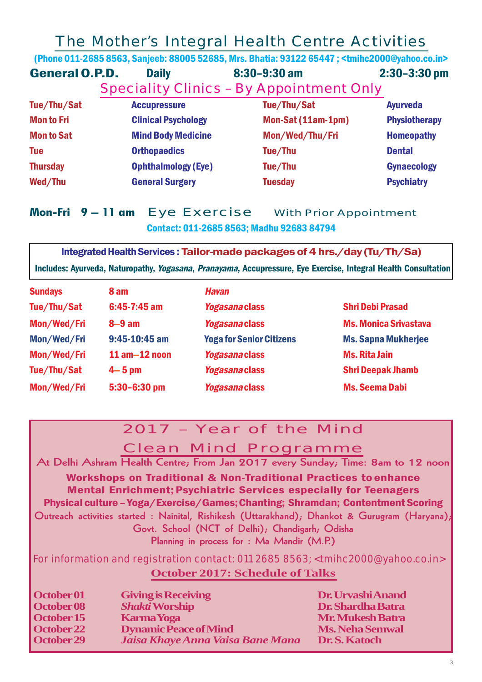|                       |                            | The Mother's Integral Health Centre Activities                                                                        |                      |
|-----------------------|----------------------------|-----------------------------------------------------------------------------------------------------------------------|----------------------|
|                       |                            | (Phone 011-2685 8563, Sanjeeb: 88005 52685, Mrs. Bhatia: 93122 65447; <tmihc2000@yahoo.co.in></tmihc2000@yahoo.co.in> |                      |
| <b>General O.P.D.</b> | <b>Daily</b>               | $8:30-9:30$ am                                                                                                        | $2:30-3:30$ pm       |
|                       |                            | Speciality Clinics - By Appointment Only                                                                              |                      |
| Tue/Thu/Sat           | <b>Accupressure</b>        | Tue/Thu/Sat                                                                                                           | <b>Ayurveda</b>      |
| <b>Mon to Fri</b>     | <b>Clinical Psychology</b> | Mon-Sat (11am-1pm)                                                                                                    | <b>Physiotherapy</b> |
| <b>Mon to Sat</b>     | <b>Mind Body Medicine</b>  | Mon/Wed/Thu/Fri                                                                                                       | <b>Homeopathy</b>    |
| <b>Tue</b>            | <b>Orthopaedics</b>        | Tue/Thu                                                                                                               | <b>Dental</b>        |
| <b>Thursday</b>       | <b>Ophthalmology (Eye)</b> | Tue/Thu                                                                                                               | <b>Gynaecology</b>   |
| Wed/Thu               | <b>General Surgery</b>     | <b>Tuesday</b>                                                                                                        | <b>Psychiatry</b>    |

### **Mon-Fri 9 – 11 am** Eye Exercise With Prior Appointment Contact: 011-2685 8563; Madhu 92683 84794

Integrated Health Services : Tailor-made packages of 4 hrs./day (Tu/Th/Sa) Includes: Ayurveda, Naturopathy, Yogasana, Pranayama, Accupressure, Eye Exercise, Integral Health Consultation

| <b>Sundays</b> | 8 am               | <b>Havan</b>                    |                              |
|----------------|--------------------|---------------------------------|------------------------------|
| Tue/Thu/Sat    | 6:45-7:45 am       | <b>Yogasanaclass</b>            | <b>Shri Debi Prasad</b>      |
| Mon/Wed/Fri    | $8-9$ am           | <b>Yogasanaclass</b>            | <b>Ms. Monica Srivastava</b> |
| Mon/Wed/Fri    | $9:45-10:45$ am    | <b>Yoga for Senior Citizens</b> | <b>Ms. Sapna Mukherjee</b>   |
| Mon/Wed/Fri    | $11$ am $-12$ noon | <b>Yogasanaclass</b>            | <b>Ms. Rita Jain</b>         |
| Tue/Thu/Sat    | $4 - 5$ pm         | <b>Yogasanaclass</b>            | <b>Shri Deepak Jhamb</b>     |
| Mon/Wed/Fri    | 5:30-6:30 pm       | <i><b>Yogasanaclass</b></i>     | <b>Ms. Seema Dabi</b>        |

### 2017 – Year of the Mind Clean Mind Programme

**At Delhi Ashram Health Centre; From Jan 2017 every Sunday; Time: 8am to 12 noon** Workshops on Traditional & Non-Traditional Practices to enhance Mental Enrichment; Psychiatric Services especially for Teenagers Physical culture – Yoga/Exercise/Games; Chanting; Shramdan; Contentment Scoring **Outreach activities started : Nainital, Rishikesh (Uttarakhand); Dhankot & Gurugram (Haryana); Govt. School (NCT of Delhi); Chandigarh; Odisha Planning in process for : Ma Mandir (M.P.)** For information and registration contact: 011 2685 8563; <tmihc2000@yahoo.co.in> **October 2017: Schedule of Talks**

| October <sub>01</sub> | Giving is Receiving              | <b>Dr. Urvashi Anand</b> |
|-----------------------|----------------------------------|--------------------------|
| October <sub>08</sub> | Shakti Worship                   | <b>Dr. Shardha Batra</b> |
| October 15            | <b>Karma Yoga</b>                | <b>Mr. Mukesh Batra</b>  |
| October 22            | <b>Dynamic Peace of Mind</b>     | <b>Ms. Neha Semwal</b>   |
| October 29            | Jaisa Khaye Anna Vaisa Bane Mana | <b>Dr. S. Katoch</b>     |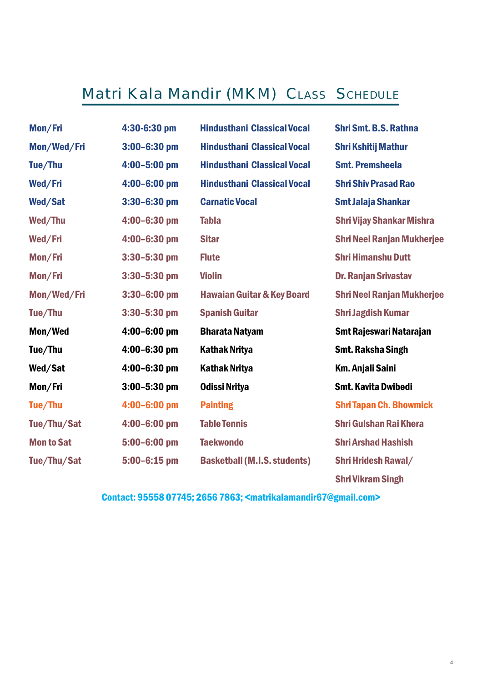### Matri Kala Mandir (MKM) CLASS SCHEDULE

| Mon/Fri           | 4:30-6:30 pm     | <b>Hindusthani Classical Vocal</b>    | <b>Shri Smt. B.S. Rathna</b>      |
|-------------------|------------------|---------------------------------------|-----------------------------------|
| Mon/Wed/Fri       | 3:00-6:30 pm     | <b>Hindusthani Classical Vocal</b>    | <b>Shri Kshitij Mathur</b>        |
| Tue/Thu           | 4:00-5:00 pm     | <b>Hindusthani Classical Vocal</b>    | <b>Smt. Premsheela</b>            |
| Wed/Fri           | 4:00-6:00 pm     | <b>Hindusthani Classical Vocal</b>    | <b>Shri Shiv Prasad Rao</b>       |
| Wed/Sat           | 3:30-6:30 pm     | <b>Carnatic Vocal</b>                 | <b>Smt Jalaja Shankar</b>         |
| Wed/Thu           | 4:00-6:30 pm     | <b>Tabla</b>                          | <b>Shri Vijay Shankar Mishra</b>  |
| Wed/Fri           | $4:00 - 6:30$ pm | <b>Sitar</b>                          | <b>Shri Neel Ranjan Mukherjee</b> |
| Mon/Fri           | $3:30 - 5:30$ pm | <b>Flute</b>                          | <b>Shri Himanshu Dutt</b>         |
| Mon/Fri           | $3:30 - 5:30$ pm | <b>Violin</b>                         | <b>Dr. Ranjan Srivastav</b>       |
| Mon/Wed/Fri       | $3:30 - 6:00$ pm | <b>Hawaian Guitar &amp; Key Board</b> | <b>Shri Neel Ranjan Mukherjee</b> |
| <b>Tue/Thu</b>    | 3:30-5:30 pm     | <b>Spanish Guitar</b>                 | <b>Shri Jagdish Kumar</b>         |
| Mon/Wed           | 4:00-6:00 pm     | <b>Bharata Natyam</b>                 | <b>Smt Rajeswari Natarajan</b>    |
| Tue/Thu           | $4:00 - 6:30$ pm | <b>Kathak Nritya</b>                  | <b>Smt. Raksha Singh</b>          |
| Wed/Sat           | 4:00-6:30 pm     | <b>Kathak Nritya</b>                  | <b>Km. Anjali Saini</b>           |
| Mon/Fri           | $3:00 - 5:30$ pm | Odissi Nritya                         | <b>Smt. Kavita Dwibedi</b>        |
| Tue/Thu           | 4:00-6:00 pm     | <b>Painting</b>                       | <b>Shri Tapan Ch. Bhowmick</b>    |
| Tue/Thu/Sat       | 4:00-6:00 pm     | <b>Table Tennis</b>                   | <b>Shri Gulshan Rai Khera</b>     |
| <b>Mon to Sat</b> | $5:00 - 6:00$ pm | <b>Taekwondo</b>                      | <b>Shri Arshad Hashish</b>        |
| Tue/Thu/Sat       | $5:00 - 6:15$ pm | <b>Basketball (M.I.S. students)</b>   | <b>Shri Hridesh Rawal/</b>        |
|                   |                  |                                       | <b>Shri Vikram Singh</b>          |

Contact: 95558 07745; 2656 7863; <matrikalamandir67@gmail.com>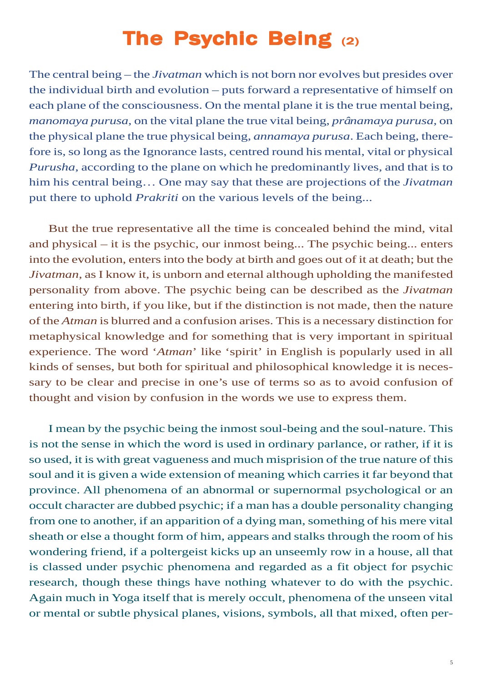## The Psychic Being (2)

The central being – the *Jivatman* which is not born nor evolves but presides over the individual birth and evolution – puts forward a representative of himself on each plane of the consciousness. On the mental plane it is the true mental being, *manomaya purusa*, on the vital plane the true vital being, *prânamaya purusa*, on the physical plane the true physical being, *annamaya purusa*. Each being, therefore is, so long as the Ignorance lasts, centred round his mental, vital or physical *Purusha*, according to the plane on which he predominantly lives, and that is to him his central being… One may say that these are projections of the *Jivatman* put there to uphold *Prakriti* on the various levels of the being...

But the true representative all the time is concealed behind the mind, vital and physical – it is the psychic, our inmost being... The psychic being... enters into the evolution, enters into the body at birth and goes out of it at death; but the *Jivatman*, as I know it, is unborn and eternal although upholding the manifested personality from above. The psychic being can be described as the *Jivatman* entering into birth, if you like, but if the distinction is not made, then the nature of the *Atman* is blurred and a confusion arises. This is a necessary distinction for metaphysical knowledge and for something that is very important in spiritual experience. The word '*Atman*' like 'spirit' in English is popularly used in all kinds of senses, but both for spiritual and philosophical knowledge it is necessary to be clear and precise in one's use of terms so as to avoid confusion of thought and vision by confusion in the words we use to express them.

I mean by the psychic being the inmost soul-being and the soul-nature. This is not the sense in which the word is used in ordinary parlance, or rather, if it is so used, it is with great vagueness and much misprision of the true nature of this soul and it is given a wide extension of meaning which carries it far beyond that province. All phenomena of an abnormal or supernormal psychological or an occult character are dubbed psychic; if a man has a double personality changing from one to another, if an apparition of a dying man, something of his mere vital sheath or else a thought form of him, appears and stalks through the room of his wondering friend, if a poltergeist kicks up an unseemly row in a house, all that is classed under psychic phenomena and regarded as a fit object for psychic research, though these things have nothing whatever to do with the psychic. Again much in Yoga itself that is merely occult, phenomena of the unseen vital or mental or subtle physical planes, visions, symbols, all that mixed, often per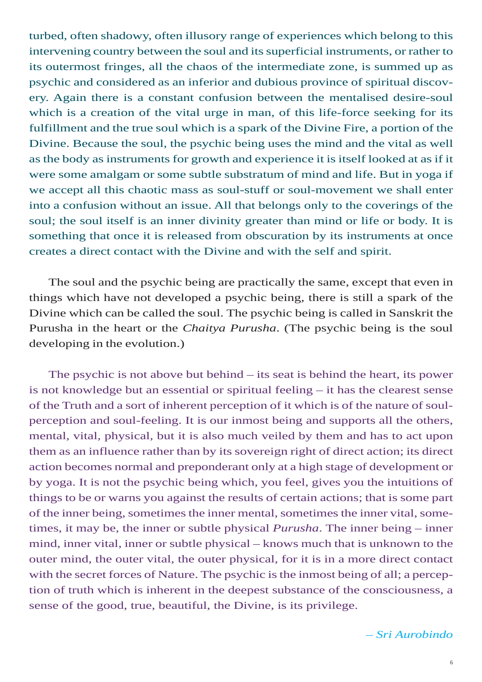turbed, often shadowy, often illusory range of experiences which belong to this intervening country between the soul and its superficial instruments, or rather to its outermost fringes, all the chaos of the intermediate zone, is summed up as psychic and considered as an inferior and dubious province of spiritual discovery. Again there is a constant confusion between the mentalised desire-soul which is a creation of the vital urge in man, of this life-force seeking for its fulfillment and the true soul which is a spark of the Divine Fire, a portion of the Divine. Because the soul, the psychic being uses the mind and the vital as well as the body as instruments for growth and experience it is itself looked at as if it were some amalgam or some subtle substratum of mind and life. But in yoga if we accept all this chaotic mass as soul-stuff or soul-movement we shall enter into a confusion without an issue. All that belongs only to the coverings of the soul; the soul itself is an inner divinity greater than mind or life or body. It is something that once it is released from obscuration by its instruments at once creates a direct contact with the Divine and with the self and spirit.

The soul and the psychic being are practically the same, except that even in things which have not developed a psychic being, there is still a spark of the Divine which can be called the soul. The psychic being is called in Sanskrit the Purusha in the heart or the *Chaitya Purusha*. (The psychic being is the soul developing in the evolution.)

The psychic is not above but behind – its seat is behind the heart, its power is not knowledge but an essential or spiritual feeling – it has the clearest sense of the Truth and a sort of inherent perception of it which is of the nature of soulperception and soul-feeling. It is our inmost being and supports all the others, mental, vital, physical, but it is also much veiled by them and has to act upon them as an influence rather than by its sovereign right of direct action; its direct action becomes normal and preponderant only at a high stage of development or by yoga. It is not the psychic being which, you feel, gives you the intuitions of things to be or warns you against the results of certain actions; that is some part of the inner being, sometimes the inner mental, sometimes the inner vital, sometimes, it may be, the inner or subtle physical *Purusha*. The inner being – inner mind, inner vital, inner or subtle physical – knows much that is unknown to the outer mind, the outer vital, the outer physical, for it is in a more direct contact with the secret forces of Nature. The psychic is the inmost being of all; a perception of truth which is inherent in the deepest substance of the consciousness, a sense of the good, true, beautiful, the Divine, is its privilege.

– *Sri Aurobindo*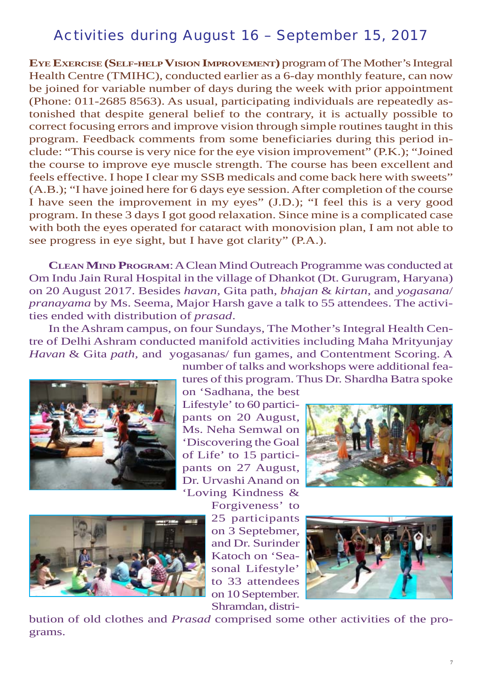### Activities during August 16 – September 15, 2017

**EYE EXERCISE (SELF-HELP VISION IMPROVEMENT)** program of The Mother's Integral Health Centre (TMIHC), conducted earlier as a 6-day monthly feature, can now be joined for variable number of days during the week with prior appointment (Phone: 011-2685 8563). As usual, participating individuals are repeatedly astonished that despite general belief to the contrary, it is actually possible to correct focusing errors and improve vision through simple routines taught in this program. Feedback comments from some beneficiaries during this period include: "This course is very nice for the eye vision improvement" (P.K.); "Joined the course to improve eye muscle strength. The course has been excellent and feels effective. I hope I clear my SSB medicals and come back here with sweets" (A.B.); "I have joined here for 6 days eye session. After completion of the course I have seen the improvement in my eyes" (J.D.); "I feel this is a very good program. In these 3 days I got good relaxation. Since mine is a complicated case with both the eyes operated for cataract with monovision plan, I am not able to see progress in eye sight, but I have got clarity" (P.A.).

**CLEAN MIND PROGRAM**: A Clean Mind Outreach Programme was conducted at Om Indu Jain Rural Hospital in the village of Dhankot (Dt. Gurugram, Haryana) on 20 August 2017. Besides *havan*, Gita path, *bhajan* & *kirtan*, and *yogasana*/ *pranayama* by Ms. Seema, Major Harsh gave a talk to 55 attendees. The activities ended with distribution of *prasad*.

In the Ashram campus, on four Sundays, The Mother's Integral Health Centre of Delhi Ashram conducted manifold activities including Maha Mrityunjay *Havan* & Gita *path,* and yogasanas/ fun games, and Contentment Scoring. A



number of talks and workshops were additional features of this program. Thus Dr. Shardha Batra spoke on 'Sadhana, the best

Lifestyle' to 60 participants on 20 August, Ms. Neha Semwal on 'Discovering the Goal of Life' to 15 participants on 27 August, Dr. Urvashi Anand on 'Loving Kindness &



Forgiveness' to 25 participants on 3 Septebmer, and Dr. Surinder Katoch on 'Seasonal Lifestyle' to 33 attendees on 10 September. Shramdan, distri-





bution of old clothes and *Prasad* comprised some other activities of the programs.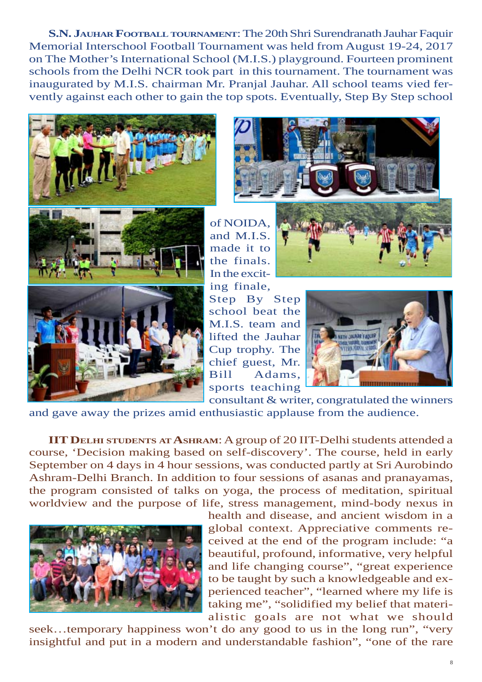**S.N. JAUHAR FOOTBALL TOURNAMENT**: The 20th Shri Surendranath Jauhar Faquir Memorial Interschool Football Tournament was held from August 19-24, 2017 on The Mother's International School (M.I.S.) playground. Fourteen prominent schools from the Delhi NCR took part in this tournament. The tournament was inaugurated by M.I.S. chairman Mr. Pranjal Jauhar. All school teams vied fervently against each other to gain the top spots. Eventually, Step By Step school







of NOIDA, and M.I.S. made it to the finals. In the exciting finale,

Step By Step school beat the M.I.S. team and lifted the Jauhar Cup trophy. The chief guest, Mr. Bill Adams, sports teaching





consultant & writer, congratulated the winners and gave away the prizes amid enthusiastic applause from the audience.

**IIT DELHI STUDENTS AT ASHRAM**: A group of 20 IIT-Delhi students attended a course, 'Decision making based on self-discovery'. The course, held in early September on 4 days in 4 hour sessions, was conducted partly at Sri Aurobindo Ashram-Delhi Branch. In addition to four sessions of asanas and pranayamas, the program consisted of talks on yoga, the process of meditation, spiritual worldview and the purpose of life, stress management, mind-body nexus in



health and disease, and ancient wisdom in a global context. Appreciative comments received at the end of the program include: "a beautiful, profound, informative, very helpful and life changing course", "great experience to be taught by such a knowledgeable and experienced teacher", "learned where my life is taking me", "solidified my belief that materialistic goals are not what we should

seek…temporary happiness won't do any good to us in the long run", "very insightful and put in a modern and understandable fashion", "one of the rare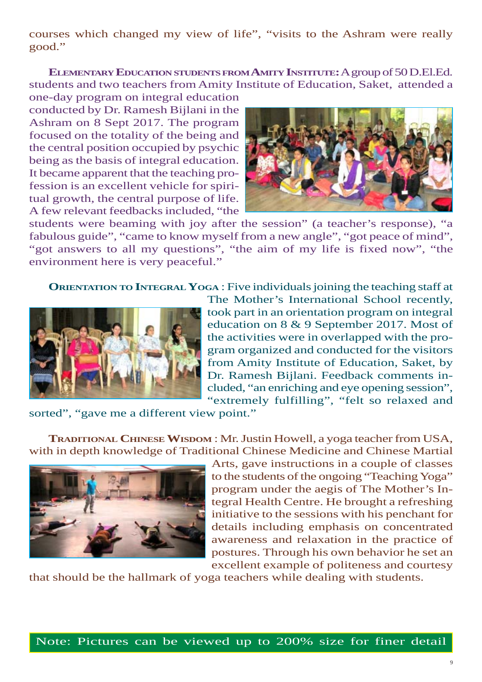courses which changed my view of life", "visits to the Ashram were really good."

**ELEMENTARY EDUCATION STUDENTSFROM AMITY INSTITUTE:** A group of 50 D.El.Ed. students and two teachers from Amity Institute of Education, Saket, attended a

one-day program on integral education conducted by Dr. Ramesh Bijlani in the Ashram on 8 Sept 2017. The program focused on the totality of the being and the central position occupied by psychic being as the basis of integral education. It became apparent that the teaching profession is an excellent vehicle for spiritual growth, the central purpose of life. A few relevant feedbacks included, "the



students were beaming with joy after the session" (a teacher's response), "a fabulous guide", "came to know myself from a new angle", "got peace of mind", "got answers to all my questions", "the aim of my life is fixed now", "the environment here is very peaceful."

**ORIENTATION TO INTEGRAL YOGA** : Five individuals joining the teaching staff at



The Mother's International School recently, took part in an orientation program on integral education on 8 & 9 September 2017. Most of the activities were in overlapped with the program organized and conducted for the visitors from Amity Institute of Education, Saket, by Dr. Ramesh Bijlani. Feedback comments included, "an enriching and eye opening session", "extremely fulfilling", "felt so relaxed and

sorted", "gave me a different view point."

**TRADITIONAL CHINESE WISDOM** : Mr. Justin Howell, a yoga teacher from USA, with in depth knowledge of Traditional Chinese Medicine and Chinese Martial



Arts, gave instructions in a couple of classes to the students of the ongoing "Teaching Yoga" program under the aegis of The Mother's Integral Health Centre. He brought a refreshing initiative to the sessions with his penchant for details including emphasis on concentrated awareness and relaxation in the practice of postures. Through his own behavior he set an excellent example of politeness and courtesy

that should be the hallmark of yoga teachers while dealing with students.

Note: Pictures can be viewed up to 200% size for finer detail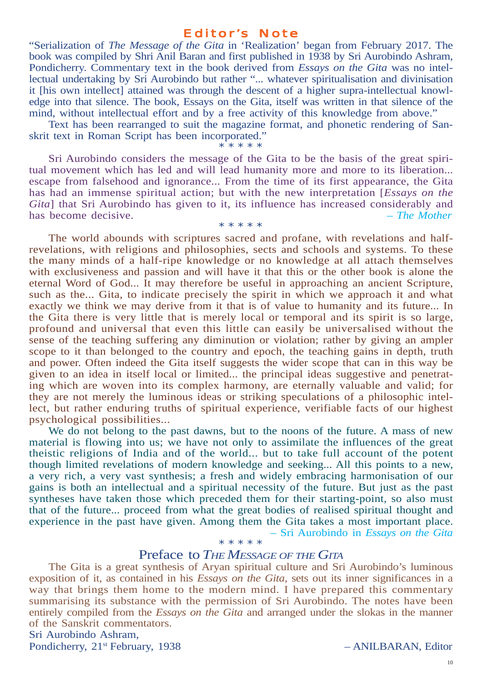#### Editor's Note

"Serialization of *The Message of the Gita* in 'Realization' began from February 2017. The book was compiled by Shri Anil Baran and first published in 1938 by Sri Aurobindo Ashram, Pondicherry. Commentary text in the book derived from *Essays on the Gita* was no intellectual undertaking by Sri Aurobindo but rather "... whatever spiritualisation and divinisation it [his own intellect] attained was through the descent of a higher supra-intellectual knowledge into that silence. The book, Essays on the Gita, itself was written in that silence of the mind, without intellectual effort and by a free activity of this knowledge from above."

Text has been rearranged to suit the magazine format, and phonetic rendering of Sanskrit text in Roman Script has been incorporated." \* \* \* \* \*

Sri Aurobindo considers the message of the Gita to be the basis of the great spiritual movement which has led and will lead humanity more and more to its liberation... escape from falsehood and ignorance... From the time of its first appearance, the Gita has had an immense spiritual action; but with the new interpretation [*Essays on the Gita*] that Sri Aurobindo has given to it, its influence has increased considerably and has become decisive. – *The Mother* \* \* \* \* \*

The world abounds with scriptures sacred and profane, with revelations and halfrevelations, with religions and philosophies, sects and schools and systems. To these the many minds of a half-ripe knowledge or no knowledge at all attach themselves with exclusiveness and passion and will have it that this or the other book is alone the eternal Word of God... It may therefore be useful in approaching an ancient Scripture, such as the... Gita, to indicate precisely the spirit in which we approach it and what exactly we think we may derive from it that is of value to humanity and its future... In the Gita there is very little that is merely local or temporal and its spirit is so large, profound and universal that even this little can easily be universalised without the sense of the teaching suffering any diminution or violation; rather by giving an ampler scope to it than belonged to the country and epoch, the teaching gains in depth, truth and power. Often indeed the Gita itself suggests the wider scope that can in this way be given to an idea in itself local or limited... the principal ideas suggestive and penetrating which are woven into its complex harmony, are eternally valuable and valid; for they are not merely the luminous ideas or striking speculations of a philosophic intellect, but rather enduring truths of spiritual experience, verifiable facts of our highest psychological possibilities...

We do not belong to the past dawns, but to the noons of the future. A mass of new material is flowing into us; we have not only to assimilate the influences of the great theistic religions of India and of the world... but to take full account of the potent though limited revelations of modern knowledge and seeking... All this points to a new, a very rich, a very vast synthesis; a fresh and widely embracing harmonisation of our gains is both an intellectual and a spiritual necessity of the future. But just as the past syntheses have taken those which preceded them for their starting-point, so also must that of the future... proceed from what the great bodies of realised spiritual thought and experience in the past have given. Among them the Gita takes a most important place. – Sri Aurobindo in *Essays on the Gita* \* \* \* \* \*

#### Preface to *THE MESSAGE OF THE GITA*

The Gita is a great synthesis of Aryan spiritual culture and Sri Aurobindo's luminous exposition of it, as contained in his *Essays on the Gita*, sets out its inner significances in a way that brings them home to the modern mind. I have prepared this commentary summarising its substance with the permission of Sri Aurobindo. The notes have been entirely compiled from the *Essays on the Gita* and arranged under the slokas in the manner of the Sanskrit commentators.

Sri Aurobindo Ashram,

Pondicherry,  $21^{st}$  February, 1938 – ANILBARAN, Editor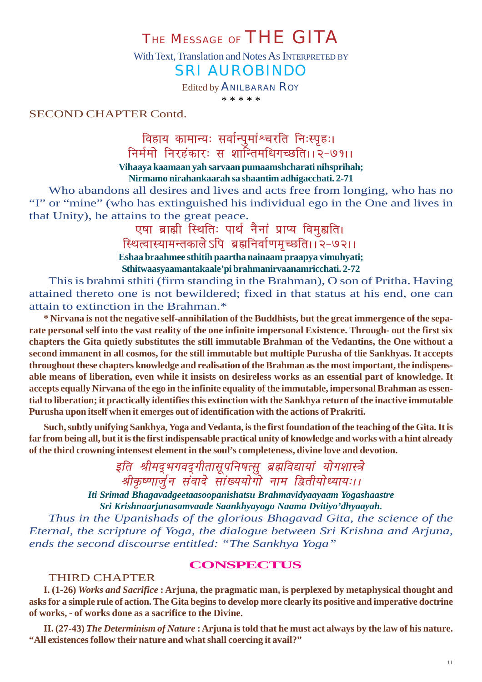### THE MESSAGE OF THE GITA

With Text, Translation and Notes As INTERPRETED BY

#### SRI AUROBINDO

Edited by ANILBARAN ROY

\* \* \* \* \*

#### SECOND CHAPTER Contd.

विहाय कामान्यः सर्वान्पुमांश्चरति निःस्पृह<mark>ः</mark>। निर्ममो निरहंकारः स शान्तिमधिगच्छति।।२-७<mark>१</mark>।। **Vihaaya kaamaan yah sarvaan pumaamshcharati nihsprihah; Nirmamo nirahankaarah sa shaantim adhigacchati. 2-71**

Who abandons all desires and lives and acts free from longing, who has no "I" or "mine" (who has extinguished his individual ego in the One and lives in that Unity), he attains to the great peace.

#### एषा ब्राह्मी स्थितिः पार्थ नैनां प्राप्य विमुह्यति। fस्थत्वास्यामन्तकाले ऽपि ब्रह्मनिर्वाणमच्छति।। २-७२।। **Eshaa braahmee sthitih paartha nainaam praapya vimuhyati; Sthitwaasyaamantakaale'pi brahmanirvaanamricchati. 2-72**

This is brahmi sthiti (firm standing in the Brahman), O son of Pritha. Having attained thereto one is not bewildered; fixed in that status at his end, one can attain to extinction in the Brahman.\*

**\* Nirvana is not the negative self-annihilation of the Buddhists, but the great immergence of the separate personal self into the vast reality of the one infinite impersonal Existence. Through- out the first six chapters the Gita quietly substitutes the still immutable Brahman of the Vedantins, the One without a second immanent in all cosmos, for the still immutable but multiple Purusha of tlie Sankhyas. It accepts throughout these chapters knowledge and realisation of the Brahman as the most important, the indispensable means of liberation, even while it insists on desireless works as an essential part of knowledge. It accepts equally Nirvana of the ego in the infinite equality of the immutable, impersonal Brahman as essential to liberation; it practically identifies this extinction with the Sankhya return of the inactive immutable Purusha upon itself when it emerges out of identification with the actions of Prakriti.**

**Such, subtly unifying Sankhya, Yoga and Vedanta, is the first foundation of the teaching of the Gita. It is far from being all, but it is the first indispensable practical unity of knowledge and works with a hint already of the third crowning intensest element in the soul's completeness, divine love and devotion.**

### इति श्रीमद्*भगवद्गीतासूपनिषत्सु ब्रह्मविद्यायां योगशास्त्रे* श्रीकृष्णार्जुन संवादे सांख्ययोगो नाम द्वितीयोध्यायः।।

*Iti Srimad Bhagavadgeetaasoopanishatsu Brahmavidyaayaam Yogashaastre Sri Krishnaarjunasamvaade Saankhyayogo Naama Dvitiyo'dhyaayah.*

*Thus in the Upanishads of the glorious Bhagavad Gita, the science of the Eternal, the scripture of Yoga, the dialogue between Sri Krishna and Arjuna, ends the second discourse entitled: "The Sankhya Yoga"*

#### THIRD CHAPTER

#### **CONSPECTUS**

**I. (1-26)** *Works and Sacrifice* **: Arjuna, the pragmatic man, is perplexed by metaphysical thought and asks for a simple rule of action. The Gita begins to develop more clearly its positive and imperative doctrine of works, - of works done as a sacrifice to the Divine.**

**II. (27-43)** *The Determinism of Nature* **: Arjuna is told that he must act always by the law of his nature. "All existences follow their nature and what shall coercing it avail?"**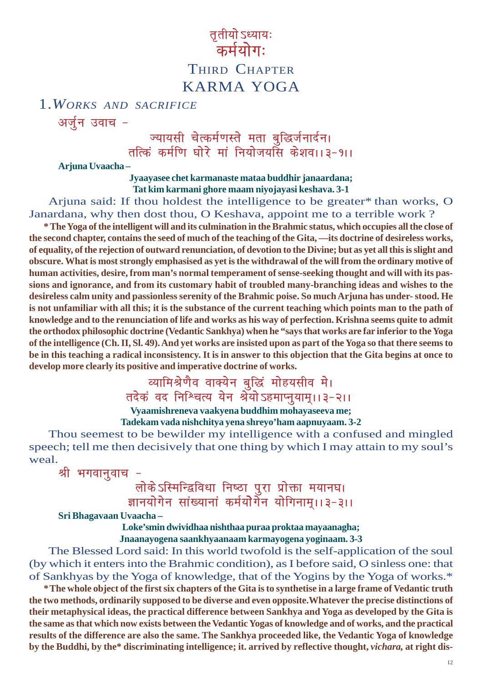### तृतीयोे् ऽध्याय<mark>ः</mark> कर्मयोगः THIRD CHAPTER KARMA YOGA

### 1.*WORKS AND SACRIFICE* अर्जुन उवाच $-$

#### ज्यायसी चेत्कर्मणस्ते मता बुद्धिर्जनार्दन। तत्किं कर्मणि घोरे मां नियोजयासे केशवान ३-१ा

**Arjuna Uvaacha –**

#### **Jyaayasee chet karmanaste mataa buddhir janaardana; Tat kim karmani ghore maam niyojayasi keshava. 3-1**

Arjuna said: If thou holdest the intelligence to be greater\* than works, O Janardana, why then dost thou, O Keshava, appoint me to a terrible work ?

**\* The Yoga of the intelligent will and its culmination in the Brahmic status, which occupies all the close of the second chapter, contains the seed of much of the teaching of the Gita, —its doctrine of desireless works, of equality, of the rejection of outward renunciation, of devotion to the Divine; but as yet all this is slight and obscure. What is most strongly emphasised as yet is the withdrawal of the will from the ordinary motive of human activities, desire, from man's normal temperament of sense-seeking thought and will with its passions and ignorance, and from its customary habit of troubled many-branching ideas and wishes to the desireless calm unity and passionless serenity of the Brahmic poise. So much Arjuna has under- stood. He is not unfamiliar with all this; it is the substance of the current teaching which points man to the path of knowledge and to the renunciation of life and works as his way of perfection. Krishna seems quite to admit the orthodox philosophic doctrine (Vedantic Sankhya) when he "says that works are far inferior to the Yoga of the intelligence (Ch. II, Sl. 49). And yet works are insisted upon as part of the Yoga so that there seems to be in this teaching a radical inconsistency. It is in answer to this objection that the Gita begins at once to develop more clearly its positive and imperative doctrine of works.**

#### व्यामिश्रेणैव वाक्येन बुद्धिं मोहयसीव <mark>मे</mark>। तदेकं वद निश्चित्य येन श्रेयोऽहमाप्नुयाम्।।<mark>३-२</mark>।। **Vyaamishreneva vaakyena buddhim mohayaseeva me;**

**Tadekam vada nishchitya yena shreyo'ham aapnuyaam. 3-2**

Thou seemest to be bewilder my intelligence with a confused and mingled speech; tell me then decisively that one thing by which I may attain to my soul's weal.

श्री भगवानुव<mark>ा</mark>च -

### लोकेऽस्मिन्द्विविधा निष्ठा पुरा प्रोक्ता मयानघ। ज्ञानयोगेन सांख्यानां कर्मयोेगेन योगिनाम्।।३−३।।

**Sri Bhagavaan Uvaacha –**

**Loke'smin dwividhaa nishthaa puraa proktaa mayaanagha;**

**Jnaanayogena saankhyaanaam karmayogena yoginaam. 3-3**

The Blessed Lord said: In this world twofold is the self-application of the soul (by which it enters into the Brahmic condition), as I before said, O sinless one: that of Sankhyas by the Yoga of knowledge, that of the Yogins by the Yoga of works.\*

**\*The whole object of the first six chapters of the Gita is to synthetise in a large frame of Vedantic truth the two methods, ordinarily supposed to be diverse and even opposite.Whatever the precise distinctions of their metaphysical ideas, the practical difference between Sankhya and Yoga as developed by the Gita is the same as that which now exists between the Vedantic Yogas of knowledge and of works, and the practical results of the difference are also the same. The Sankhya proceeded like, the Vedantic Yoga of knowledge by the Buddhi, by the\* discriminating intelligence; it. arrived by reflective thought,** *vichara,* **at right dis-**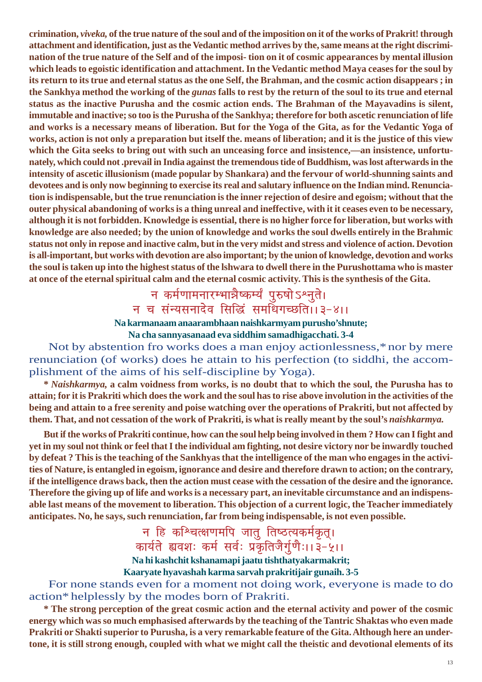**crimination,** *viveka,* **of the true nature of the soul and of the imposition on it of the works of Prakrit! through attachment and identification, just as the Vedantic method arrives by the, same means at the right discrimination of the true nature of the Self and of the imposi- tion on it of cosmic appearances by mental illusion which leads to egoistic identification and attachment. In the Vedantic method Maya ceases for the soul by its return to its true and eternal status as the one Self, the Brahman, and the cosmic action disappears ; in the Sankhya method the working of the** *gunas* **falls to rest by the return of the soul to its true and eternal status as the inactive Purusha and the cosmic action ends. The Brahman of the Mayavadins is silent, immutable and inactive; so too is the Purusha of the Sankhya; therefore for both ascetic renunciation of life and works is a necessary means of liberation. But for the Yoga of the Gita, as for the Vedantic Yoga of works, action is not only a preparation but itself the. means of liberation; and it is the justice of this view** which the Gita seeks to bring out with such an unceasing force and insistence,—an insistence, unfortu**nately, which could not .prevail in India against the tremendous tide of Buddhism, was lost afterwards in the intensity of ascetic illusionism (made popular by Shankara) and the fervour of world-shunning saints and devotees and is only now beginning to exercise its real and salutary influence on the Indian mind. Renunciation is indispensable, but the true renunciation is the inner rejection of desire and egoism; without that the outer physical abandoning of works is a thing unreal and ineffective, with it it ceases even to be necessary, although it is not forbidden. Knowledge is essential, there is no higher force for liberation, but works with knowledge are also needed; by the union of knowledge and works the soul dwells entirely in the Brahmic status not only in repose and inactive calm, but in the very midst and stress and violence of action. Devotion is all-important, but works with devotion are also important; by the union of knowledge, devotion and works the soul is taken up into the highest status of the lshwara to dwell there in the Purushottama who is master at once of the eternal spiritual calm and the eternal cosmic activity. This is the synthesis of the Gita.**

### <mark>न कर्मणामनारम्भात्रैष्कर्म्यं पुरुषो</mark> ऽश्नुते। न च संन्यसनादेव सिद्धिं समधिगच्छति। 3-8 $\scriptstyle\rm H$

#### **Na karmanaam anaarambhaan naishkarmyam purusho'shnute; Na cha sannyasanaad eva siddhim samadhigacchati. 3-4**

Not by abstention fro works does a man enjoy actionlessness,\*nor by mere renunciation (of works) does he attain to his perfection (to siddhi, the accomplishment of the aims of his self-discipline by Yoga).

**\*** *Naishkarmya,* **a calm voidness from works, is no doubt that to which the soul, the Purusha has to attain; for it is Prakriti which does the work and the soul has to rise above involution in the activities of the being and attain to a free serenity and poise watching over the operations of Prakriti, but not affected by** them. That, and not cessation of the work of Prakriti, is what is really meant by the soul's *naishkarmya*.

**But if the works of Prakriti continue, how can the soul help being involved in them ? How can I fight and yet in my soul not think or feel that I the individual am fighting, not desire victory nor be inwardly touched by defeat ? This is the teaching of the Sankhyas that the intelligence of the man who engages in the activities of Nature, is entangled in egoism, ignorance and desire and therefore drawn to action; on the contrary, if the intelligence draws back, then the action must cease with the cessation of the desire and the ignorance. Therefore the giving up of life and works is a necessary part, an inevitable circumstance and an indispensable last means of the movement to liberation. This objection of a current logic, the Teacher immediately anticipates. No, he says, such renunciation, far from being indispensable, is not even possible.**

### न हि कश्चित्क्षणमपि जातु तिष्ठत्यकर्मकृत्। कार्यते ह्यवशः कर्म सर्वः प्रकृतिजैर्गुणैः।।३-५।।

#### **Na hi kashchit kshanamapi jaatu tishthatyakarmakrit;**

**Kaaryate hyavashah karma sarvah prakritijair gunaih. 3-5**

For none stands even for a moment not doing work, everyone is made to do action\* helplessly by the modes born of Prakriti.

**\* The strong perception of the great cosmic action and the eternal activity and power of the cosmic energy which was so much emphasised afterwards by the teaching of the Tantric Shaktas who even made Prakriti or Shakti superior to Purusha, is a very remarkable feature of the Gita. Although here an undertone, it is still strong enough, coupled with what we might call the theistic and devotional elements of its**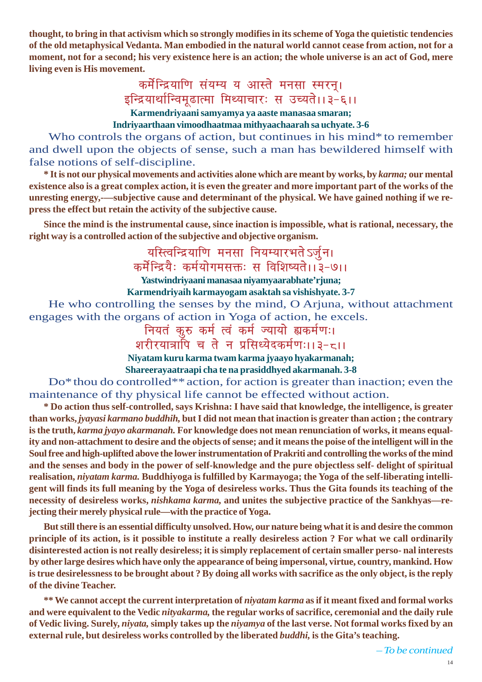**thought, to bring in that activism which so strongly modifies in its scheme of Yoga the quietistic tendencies of the old metaphysical Vedanta. Man embodied in the natural world cannot cease from action, not for a moment, not for a second; his very existence here is an action; the whole universe is an act of God, mere living even is His movement.**

### कर्मेन्द्रियाणि संयम्य य आस्ते मनसा स्मरन्। इन्द्रियार्थान्विमूढात्मा मिथ्याचारः स उच्यते।।३-६।। **Karmendriyaani samyamya ya aaste manasaa smaran;**

**Indriyaarthaan vimoodhaatmaa mithyaachaarah sa uchyate. 3-6**

Who controls the organs of action, but continues in his mind\* to remember and dwell upon the objects of sense, such a man has bewildered himself with false notions of self-discipline.

**\* It is not our physical movements and activities alone which are meant by works, by** *karma;* **our mental existence also is a great complex action, it is even the greater and more important part of the works of the unresting energy,-—subjective cause and determinant of the physical. We have gained nothing if we repress the effect but retain the activity of the subjective cause.**

**Since the mind is the instrumental cause, since inaction is impossible, what is rational, necessary, the right way is a controlled action of the subjective and objective organism.**

#### यस्त्विन्द्रियाणि मनसा नियम्यारभते ऽर्जुन। ades with a minimum controlled to the City<br>September : स विशिष्यते।। ३-७।।

**Yastwindriyaani manasaa niyamyaarabhate'rjuna; Karmendriyaih karmayogam asaktah sa vishishyate. 3-7**

He who controlling the senses by the mind, O Arjuna, without attachment engages with the organs of action in Yoga of action, he excels.

**नियतं कुरु कर्म त्वं कर्म ज्यायो ह्यकर्मणः।** शरीरयात्रापि च ते न प्रसिध्येदकर्मण:  $|3-z|$ ।

### **Niyatam kuru karma twam karma jyaayo hyakarmanah;**

#### **Shareerayaatraapi cha te na prasiddhyed akarmanah. 3-8**

Do\*thou do controlled\*\*action, for action is greater than inaction; even the maintenance of thy physical life cannot be effected without action.

**\* Do action thus self-controlled, says Krishna: I have said that knowledge, the intelligence, is greater than works,** *jyayasi karmano buddhih,* **but I did not mean that inaction is greater than action ; the contrary is the truth,** *karma jyayo akarmanah.* **For knowledge does not mean renunciation of works, it means equality and non-attachment to desire and the objects of sense; and it means the poise of the intelligent will in the Soul free and high-uplifted above the lower instrumentation of Prakriti and controlling the works of the mind and the senses and body in the power of self-knowledge and the pure objectless self- delight of spiritual realisation,** *niyatam karma.* **Buddhiyoga is fulfilled by Karmayoga; the Yoga of the self-liberating intelligent will finds its full meaning by the Yoga of desireless works. Thus the Gita founds its teaching of the necessity of desireless works,** *nishkama karma,* **and unites the subjective practice of the Sankhyas—rejecting their merely physical rule—with the practice of Yoga.**

**But still there is an essential difficulty unsolved. How, our nature being what it is and desire the common principle of its action, is it possible to institute a really desireless action ? For what we call ordinarily disinterested action is not really desireless; it is simply replacement of certain smaller perso- nal interests by other large desires which have only the appearance of being impersonal, virtue, country, mankind. How is true desirelessness to be brought about ? By doing all works with sacrifice as the only object, is the reply of the divine Teacher.**

**\*\* We cannot accept the current interpretation of** *niyatam karma* **as if it meant fixed and formal works and were equivalent to the Vedic** *nityakarma,* **the regular works of sacrifice, ceremonial and the daily rule of Vedic living. Surely,** *niyata,* **simply takes up the** *niyamya* **of the last verse. Not formal works fixed by an external rule, but desireless works controlled by the liberated** *buddhi,* **is the Gita's teaching.**